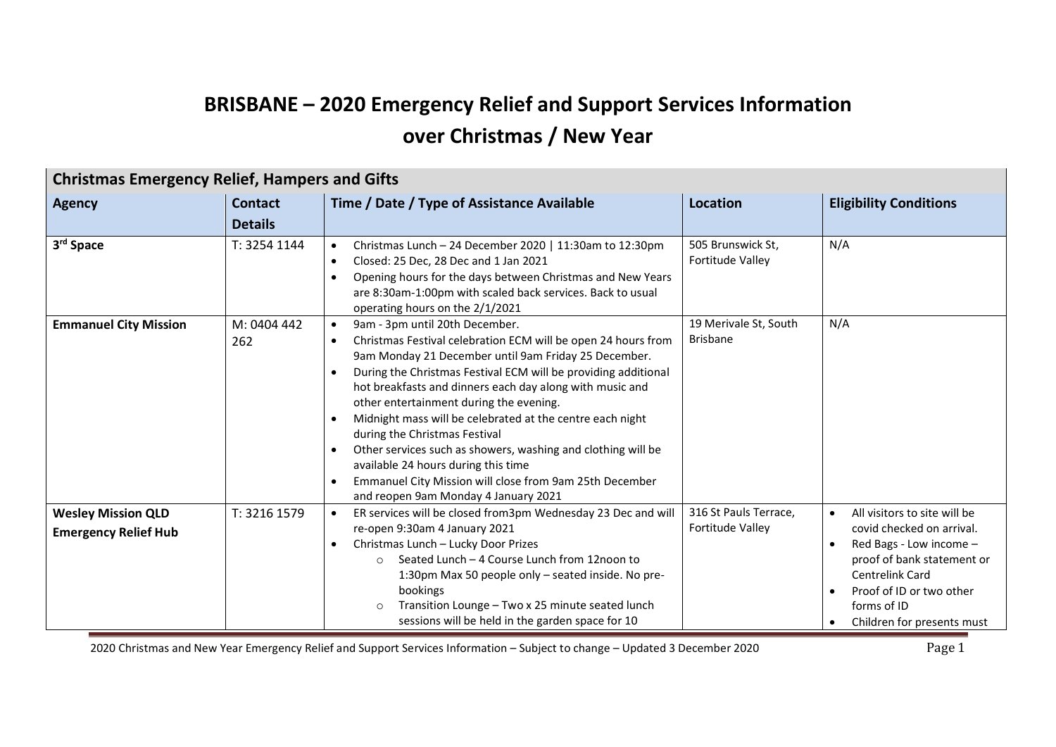## **BRISBANE – 2020 Emergency Relief and Support Services Information over Christmas / New Year**

|                                                          | <b>Christmas Emergency Relief, Hampers and Gifts</b> |                                                                                                                                                                                                                                                                                                                                                                                                                                                                                                                                                                                                                                                                                                                        |                                              |                                                                                                                                                                                                                             |  |
|----------------------------------------------------------|------------------------------------------------------|------------------------------------------------------------------------------------------------------------------------------------------------------------------------------------------------------------------------------------------------------------------------------------------------------------------------------------------------------------------------------------------------------------------------------------------------------------------------------------------------------------------------------------------------------------------------------------------------------------------------------------------------------------------------------------------------------------------------|----------------------------------------------|-----------------------------------------------------------------------------------------------------------------------------------------------------------------------------------------------------------------------------|--|
| <b>Agency</b>                                            | <b>Contact</b>                                       | Time / Date / Type of Assistance Available                                                                                                                                                                                                                                                                                                                                                                                                                                                                                                                                                                                                                                                                             | <b>Location</b>                              | <b>Eligibility Conditions</b>                                                                                                                                                                                               |  |
|                                                          | <b>Details</b>                                       |                                                                                                                                                                                                                                                                                                                                                                                                                                                                                                                                                                                                                                                                                                                        |                                              |                                                                                                                                                                                                                             |  |
| 3 <sup>rd</sup> Space                                    | T: 3254 1144                                         | Christmas Lunch - 24 December 2020   11:30am to 12:30pm<br>$\bullet$<br>Closed: 25 Dec, 28 Dec and 1 Jan 2021<br>$\bullet$<br>Opening hours for the days between Christmas and New Years<br>$\bullet$<br>are 8:30am-1:00pm with scaled back services. Back to usual<br>operating hours on the 2/1/2021                                                                                                                                                                                                                                                                                                                                                                                                                 | 505 Brunswick St,<br><b>Fortitude Valley</b> | N/A                                                                                                                                                                                                                         |  |
| <b>Emmanuel City Mission</b>                             | M: 0404 442<br>262                                   | 9am - 3pm until 20th December.<br>$\bullet$<br>Christmas Festival celebration ECM will be open 24 hours from<br>$\bullet$<br>9am Monday 21 December until 9am Friday 25 December.<br>During the Christmas Festival ECM will be providing additional<br>$\bullet$<br>hot breakfasts and dinners each day along with music and<br>other entertainment during the evening.<br>Midnight mass will be celebrated at the centre each night<br>$\bullet$<br>during the Christmas Festival<br>Other services such as showers, washing and clothing will be<br>$\bullet$<br>available 24 hours during this time<br>Emmanuel City Mission will close from 9am 25th December<br>$\bullet$<br>and reopen 9am Monday 4 January 2021 | 19 Merivale St, South<br><b>Brisbane</b>     | N/A                                                                                                                                                                                                                         |  |
| <b>Wesley Mission QLD</b><br><b>Emergency Relief Hub</b> | T: 3216 1579                                         | ER services will be closed from3pm Wednesday 23 Dec and will<br>$\bullet$<br>re-open 9:30am 4 January 2021<br>Christmas Lunch - Lucky Door Prizes<br>$\bullet$<br>Seated Lunch - 4 Course Lunch from 12noon to<br>$\Omega$<br>1:30pm Max 50 people only - seated inside. No pre-<br>bookings<br>Transition Lounge - Two x 25 minute seated lunch<br>sessions will be held in the garden space for 10                                                                                                                                                                                                                                                                                                                   | 316 St Pauls Terrace,<br>Fortitude Valley    | All visitors to site will be<br>$\bullet$<br>covid checked on arrival.<br>Red Bags - Low income -<br>proof of bank statement or<br>Centrelink Card<br>Proof of ID or two other<br>forms of ID<br>Children for presents must |  |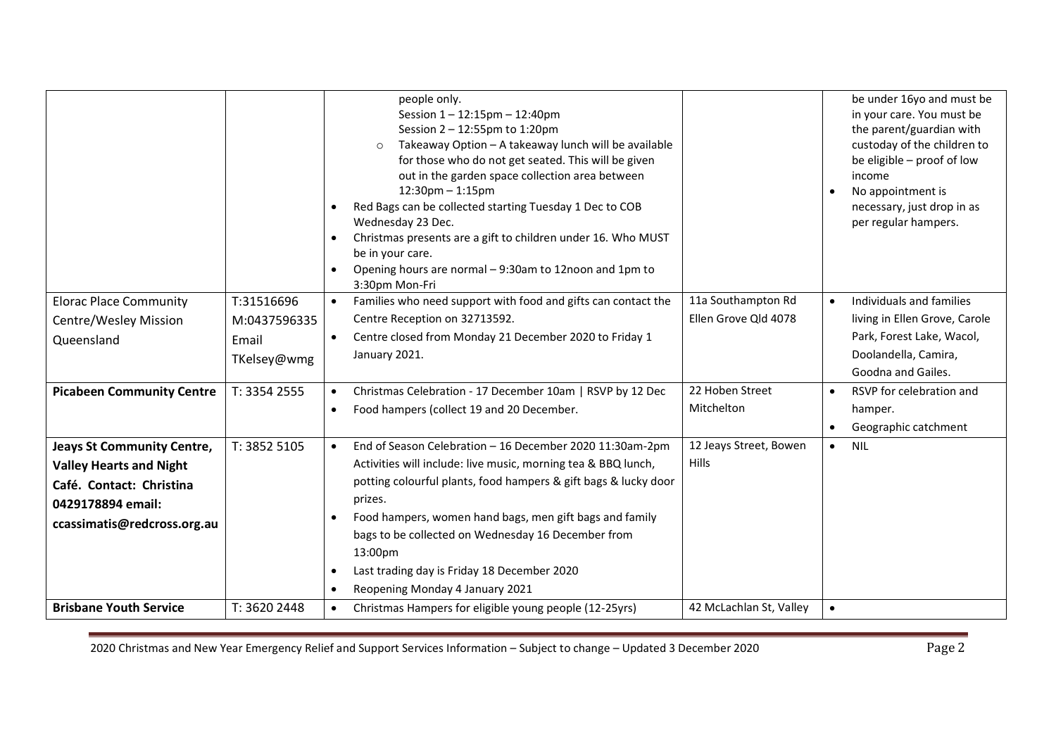|                                                                                                                                                     |                                                    | people only.<br>Session 1-12:15pm - 12:40pm<br>Session 2 - 12:55pm to 1:20pm<br>Takeaway Option - A takeaway lunch will be available<br>$\circ$<br>for those who do not get seated. This will be given<br>out in the garden space collection area between<br>$12:30$ pm $-1:15$ pm<br>Red Bags can be collected starting Tuesday 1 Dec to COB<br>Wednesday 23 Dec.<br>Christmas presents are a gift to children under 16. Who MUST<br>$\bullet$<br>be in your care.<br>Opening hours are normal - 9:30am to 12noon and 1pm to<br>$\bullet$<br>3:30pm Mon-Fri |                                            | be under 16yo and must be<br>in your care. You must be<br>the parent/guardian with<br>custoday of the children to<br>be eligible - proof of low<br>income<br>No appointment is<br>necessary, just drop in as<br>per regular hampers. |
|-----------------------------------------------------------------------------------------------------------------------------------------------------|----------------------------------------------------|--------------------------------------------------------------------------------------------------------------------------------------------------------------------------------------------------------------------------------------------------------------------------------------------------------------------------------------------------------------------------------------------------------------------------------------------------------------------------------------------------------------------------------------------------------------|--------------------------------------------|--------------------------------------------------------------------------------------------------------------------------------------------------------------------------------------------------------------------------------------|
| <b>Elorac Place Community</b><br>Centre/Wesley Mission<br>Queensland                                                                                | T:31516696<br>M:0437596335<br>Email<br>TKelsey@wmg | Families who need support with food and gifts can contact the<br>$\bullet$<br>Centre Reception on 32713592.<br>Centre closed from Monday 21 December 2020 to Friday 1<br>$\bullet$<br>January 2021.                                                                                                                                                                                                                                                                                                                                                          | 11a Southampton Rd<br>Ellen Grove Qld 4078 | Individuals and families<br>living in Ellen Grove, Carole<br>Park, Forest Lake, Wacol,<br>Doolandella, Camira,<br>Goodna and Gailes.                                                                                                 |
| <b>Picabeen Community Centre</b>                                                                                                                    | T: 3354 2555                                       | Christmas Celebration - 17 December 10am   RSVP by 12 Dec<br>$\bullet$<br>Food hampers (collect 19 and 20 December.<br>$\bullet$                                                                                                                                                                                                                                                                                                                                                                                                                             | 22 Hoben Street<br>Mitchelton              | RSVP for celebration and<br>hamper.<br>Geographic catchment                                                                                                                                                                          |
| <b>Jeays St Community Centre,</b><br><b>Valley Hearts and Night</b><br>Café. Contact: Christina<br>0429178894 email:<br>ccassimatis@redcross.org.au | T: 3852 5105                                       | End of Season Celebration - 16 December 2020 11:30am-2pm<br>$\bullet$<br>Activities will include: live music, morning tea & BBQ lunch,<br>potting colourful plants, food hampers & gift bags & lucky door<br>prizes.<br>Food hampers, women hand bags, men gift bags and family<br>$\bullet$<br>bags to be collected on Wednesday 16 December from<br>13:00pm<br>Last trading day is Friday 18 December 2020<br>$\bullet$<br>Reopening Monday 4 January 2021<br>$\bullet$                                                                                    | 12 Jeays Street, Bowen<br>Hills            | <b>NIL</b><br>$\bullet$                                                                                                                                                                                                              |
| <b>Brisbane Youth Service</b>                                                                                                                       | T: 3620 2448                                       | Christmas Hampers for eligible young people (12-25yrs)<br>$\bullet$                                                                                                                                                                                                                                                                                                                                                                                                                                                                                          | 42 McLachlan St, Valley                    | $\bullet$                                                                                                                                                                                                                            |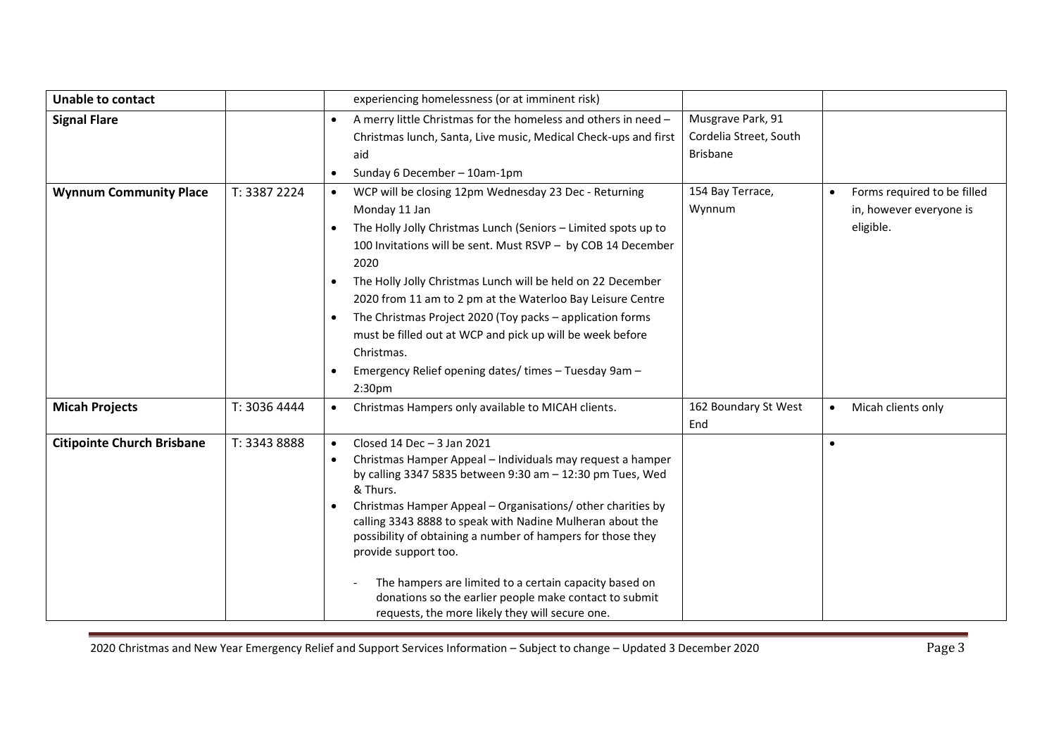| <b>Unable to contact</b>          |              | experiencing homelessness (or at imminent risk)                                                                                                                                                                                                                                                                                                                                                                                                                                                                                                                                                                                      |                                                                |                                                                                  |
|-----------------------------------|--------------|--------------------------------------------------------------------------------------------------------------------------------------------------------------------------------------------------------------------------------------------------------------------------------------------------------------------------------------------------------------------------------------------------------------------------------------------------------------------------------------------------------------------------------------------------------------------------------------------------------------------------------------|----------------------------------------------------------------|----------------------------------------------------------------------------------|
| <b>Signal Flare</b>               |              | A merry little Christmas for the homeless and others in need -<br>$\bullet$<br>Christmas lunch, Santa, Live music, Medical Check-ups and first<br>aid<br>Sunday 6 December - 10am-1pm<br>$\bullet$                                                                                                                                                                                                                                                                                                                                                                                                                                   | Musgrave Park, 91<br>Cordelia Street, South<br><b>Brisbane</b> |                                                                                  |
| <b>Wynnum Community Place</b>     | T: 3387 2224 | WCP will be closing 12pm Wednesday 23 Dec - Returning<br>$\bullet$<br>Monday 11 Jan<br>The Holly Jolly Christmas Lunch (Seniors - Limited spots up to<br>$\bullet$<br>100 Invitations will be sent. Must RSVP - by COB 14 December<br>2020<br>The Holly Jolly Christmas Lunch will be held on 22 December<br>$\bullet$<br>2020 from 11 am to 2 pm at the Waterloo Bay Leisure Centre<br>The Christmas Project 2020 (Toy packs - application forms<br>$\bullet$<br>must be filled out at WCP and pick up will be week before<br>Christmas.<br>Emergency Relief opening dates/times - Tuesday 9am -<br>$\bullet$<br>2:30 <sub>pm</sub> | 154 Bay Terrace,<br>Wynnum                                     | Forms required to be filled<br>$\bullet$<br>in, however everyone is<br>eligible. |
| <b>Micah Projects</b>             | T: 3036 4444 | Christmas Hampers only available to MICAH clients.<br>$\bullet$                                                                                                                                                                                                                                                                                                                                                                                                                                                                                                                                                                      | 162 Boundary St West<br>End                                    | Micah clients only<br>$\bullet$                                                  |
| <b>Citipointe Church Brisbane</b> | T: 3343 8888 | Closed 14 Dec $-3$ Jan 2021<br>$\bullet$<br>Christmas Hamper Appeal - Individuals may request a hamper<br>$\bullet$<br>by calling 3347 5835 between 9:30 am - 12:30 pm Tues, Wed<br>& Thurs.<br>Christmas Hamper Appeal - Organisations/ other charities by<br>$\bullet$<br>calling 3343 8888 to speak with Nadine Mulheran about the<br>possibility of obtaining a number of hampers for those they<br>provide support too.<br>The hampers are limited to a certain capacity based on<br>donations so the earlier people make contact to submit<br>requests, the more likely they will secure one.                                  |                                                                | $\bullet$                                                                        |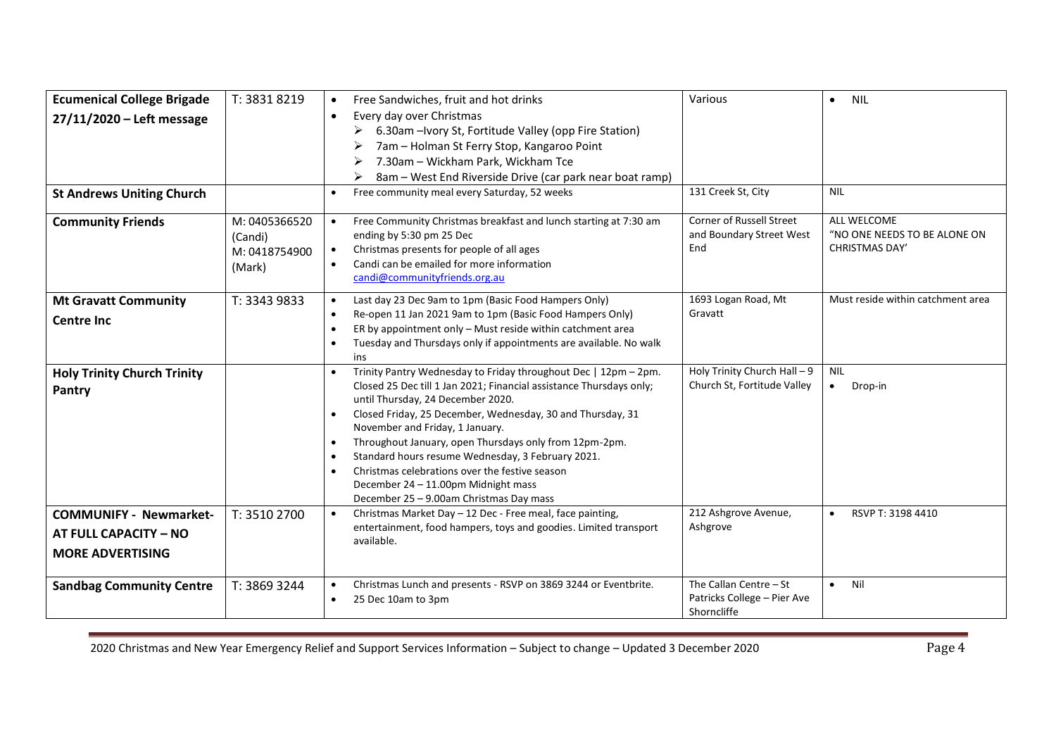| <b>Ecumenical College Brigade</b><br>27/11/2020 - Left message<br><b>St Andrews Uniting Church</b> | T: 3831 8219                                        | Free Sandwiches, fruit and hot drinks<br>$\bullet$<br>Every day over Christmas<br>$\bullet$<br>6.30am - Ivory St, Fortitude Valley (opp Fire Station)<br>➤<br>7am - Holman St Ferry Stop, Kangaroo Point<br>7.30am - Wickham Park, Wickham Tce<br>8am – West End Riverside Drive (car park near boat ramp)<br>➤<br>Free community meal every Saturday, 52 weeks<br>$\bullet$                                                                                                                                                                                                                     | Various<br>131 Creek St, City                                        | <b>NIL</b><br>$\bullet$<br><b>NIL</b>                                |
|----------------------------------------------------------------------------------------------------|-----------------------------------------------------|--------------------------------------------------------------------------------------------------------------------------------------------------------------------------------------------------------------------------------------------------------------------------------------------------------------------------------------------------------------------------------------------------------------------------------------------------------------------------------------------------------------------------------------------------------------------------------------------------|----------------------------------------------------------------------|----------------------------------------------------------------------|
| <b>Community Friends</b>                                                                           | M: 0405366520<br>(Candi)<br>M: 0418754900<br>(Mark) | Free Community Christmas breakfast and lunch starting at 7:30 am<br>$\bullet$<br>ending by 5:30 pm 25 Dec<br>Christmas presents for people of all ages<br>$\bullet$<br>Candi can be emailed for more information<br>$\bullet$<br>candi@communityfriends.org.au                                                                                                                                                                                                                                                                                                                                   | <b>Corner of Russell Street</b><br>and Boundary Street West<br>End   | ALL WELCOME<br>"NO ONE NEEDS TO BE ALONE ON<br><b>CHRISTMAS DAY'</b> |
| <b>Mt Gravatt Community</b><br><b>Centre Inc</b>                                                   | T: 3343 9833                                        | Last day 23 Dec 9am to 1pm (Basic Food Hampers Only)<br>$\bullet$<br>Re-open 11 Jan 2021 9am to 1pm (Basic Food Hampers Only)<br>$\bullet$<br>ER by appointment only - Must reside within catchment area<br>$\bullet$<br>Tuesday and Thursdays only if appointments are available. No walk<br>$\bullet$<br>ins                                                                                                                                                                                                                                                                                   | 1693 Logan Road, Mt<br>Gravatt                                       | Must reside within catchment area                                    |
| <b>Holy Trinity Church Trinity</b><br>Pantry                                                       |                                                     | Trinity Pantry Wednesday to Friday throughout Dec   12pm - 2pm.<br>$\bullet$<br>Closed 25 Dec till 1 Jan 2021; Financial assistance Thursdays only;<br>until Thursday, 24 December 2020.<br>Closed Friday, 25 December, Wednesday, 30 and Thursday, 31<br>$\bullet$<br>November and Friday, 1 January.<br>Throughout January, open Thursdays only from 12pm-2pm.<br>$\bullet$<br>Standard hours resume Wednesday, 3 February 2021.<br>$\bullet$<br>Christmas celebrations over the festive season<br>$\bullet$<br>December 24 - 11.00pm Midnight mass<br>December 25 - 9.00am Christmas Day mass | Holy Trinity Church Hall - 9<br>Church St, Fortitude Valley          | <b>NIL</b><br>Drop-in<br>$\bullet$                                   |
| <b>COMMUNIFY - Newmarket-</b><br>AT FULL CAPACITY - NO<br><b>MORE ADVERTISING</b>                  | T: 3510 2700                                        | Christmas Market Day - 12 Dec - Free meal, face painting,<br>$\bullet$<br>entertainment, food hampers, toys and goodies. Limited transport<br>available.                                                                                                                                                                                                                                                                                                                                                                                                                                         | 212 Ashgrove Avenue,<br>Ashgrove                                     | RSVP T: 3198 4410<br>$\bullet$                                       |
| <b>Sandbag Community Centre</b>                                                                    | T: 3869 3244                                        | Christmas Lunch and presents - RSVP on 3869 3244 or Eventbrite.<br>$\bullet$<br>25 Dec 10am to 3pm<br>$\bullet$                                                                                                                                                                                                                                                                                                                                                                                                                                                                                  | The Callan Centre - St<br>Patricks College - Pier Ave<br>Shorncliffe | Nil<br>$\bullet$                                                     |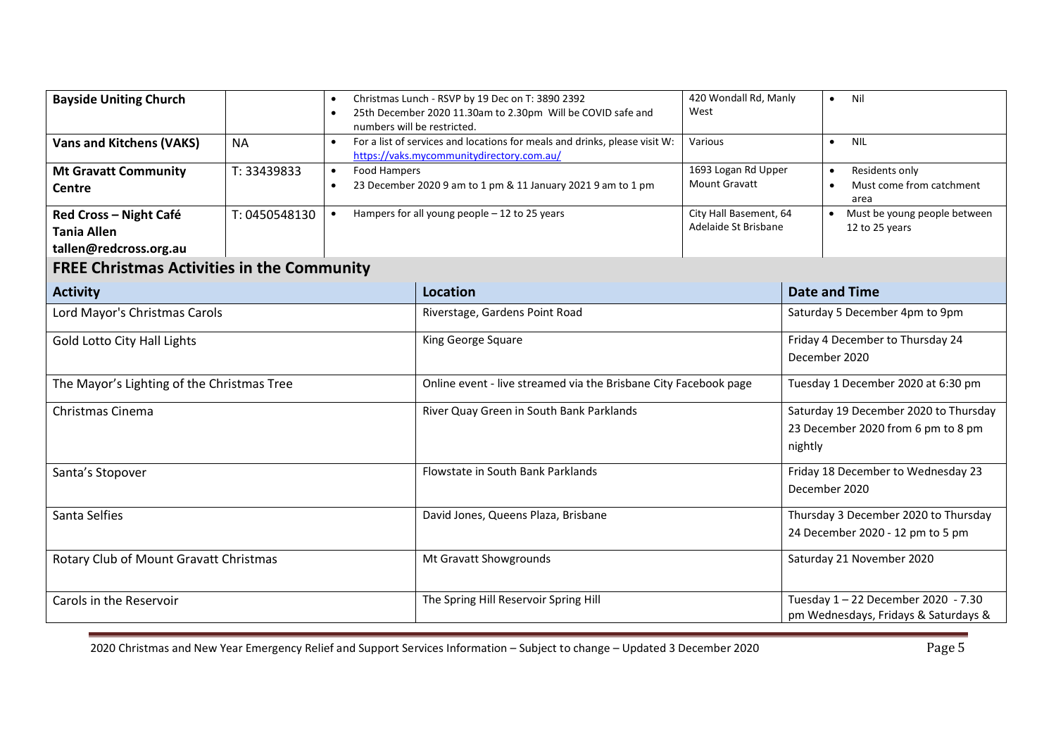| <b>Bayside Uniting Church</b>                                          |               | Christmas Lunch - RSVP by 19 Dec on T: 3890 2392<br>$\bullet$<br>25th December 2020 11.30am to 2.30pm Will be COVID safe and<br>$\bullet$<br>numbers will be restricted. |                                                                                                                         | 420 Wondall Rd, Manly<br>West                                                          | Nil<br>$\bullet$                                                          |
|------------------------------------------------------------------------|---------------|--------------------------------------------------------------------------------------------------------------------------------------------------------------------------|-------------------------------------------------------------------------------------------------------------------------|----------------------------------------------------------------------------------------|---------------------------------------------------------------------------|
| <b>Vans and Kitchens (VAKS)</b>                                        | <b>NA</b>     |                                                                                                                                                                          | For a list of services and locations for meals and drinks, please visit W:<br>https://vaks.mycommunitydirectory.com.au/ | Various                                                                                | $\bullet$<br><b>NIL</b>                                                   |
| <b>Mt Gravatt Community</b><br>Centre                                  | T: 33439833   | Food Hampers<br>$\bullet$<br>$\bullet$                                                                                                                                   | 23 December 2020 9 am to 1 pm & 11 January 2021 9 am to 1 pm                                                            | 1693 Logan Rd Upper<br><b>Mount Gravatt</b>                                            | Residents only<br>$\bullet$<br>Must come from catchment<br>area           |
| Red Cross - Night Café<br><b>Tania Allen</b><br>tallen@redcross.org.au | T: 0450548130 | Hampers for all young people - 12 to 25 years<br>$\bullet$                                                                                                               |                                                                                                                         | City Hall Basement, 64<br>Adelaide St Brisbane                                         | Must be young people between<br>12 to 25 years                            |
| <b>FREE Christmas Activities in the Community</b>                      |               |                                                                                                                                                                          |                                                                                                                         |                                                                                        |                                                                           |
| <b>Activity</b>                                                        |               |                                                                                                                                                                          | <b>Location</b>                                                                                                         |                                                                                        | <b>Date and Time</b>                                                      |
| Lord Mayor's Christmas Carols                                          |               | Riverstage, Gardens Point Road                                                                                                                                           |                                                                                                                         | Saturday 5 December 4pm to 9pm                                                         |                                                                           |
| Gold Lotto City Hall Lights                                            |               | King George Square                                                                                                                                                       |                                                                                                                         | Friday 4 December to Thursday 24<br>December 2020                                      |                                                                           |
| The Mayor's Lighting of the Christmas Tree                             |               | Online event - live streamed via the Brisbane City Facebook page                                                                                                         |                                                                                                                         | Tuesday 1 December 2020 at 6:30 pm                                                     |                                                                           |
| Christmas Cinema                                                       |               | River Quay Green in South Bank Parklands                                                                                                                                 |                                                                                                                         | Saturday 19 December 2020 to Thursday<br>23 December 2020 from 6 pm to 8 pm<br>nightly |                                                                           |
| Santa's Stopover                                                       |               | Flowstate in South Bank Parklands                                                                                                                                        |                                                                                                                         | Friday 18 December to Wednesday 23<br>December 2020                                    |                                                                           |
| Santa Selfies                                                          |               | David Jones, Queens Plaza, Brisbane                                                                                                                                      |                                                                                                                         | Thursday 3 December 2020 to Thursday<br>24 December 2020 - 12 pm to 5 pm               |                                                                           |
| Rotary Club of Mount Gravatt Christmas                                 |               | Mt Gravatt Showgrounds                                                                                                                                                   |                                                                                                                         | Saturday 21 November 2020                                                              |                                                                           |
| Carols in the Reservoir                                                |               |                                                                                                                                                                          | The Spring Hill Reservoir Spring Hill                                                                                   |                                                                                        | Tuesday 1-22 December 2020 - 7.30<br>pm Wednesdays, Fridays & Saturdays & |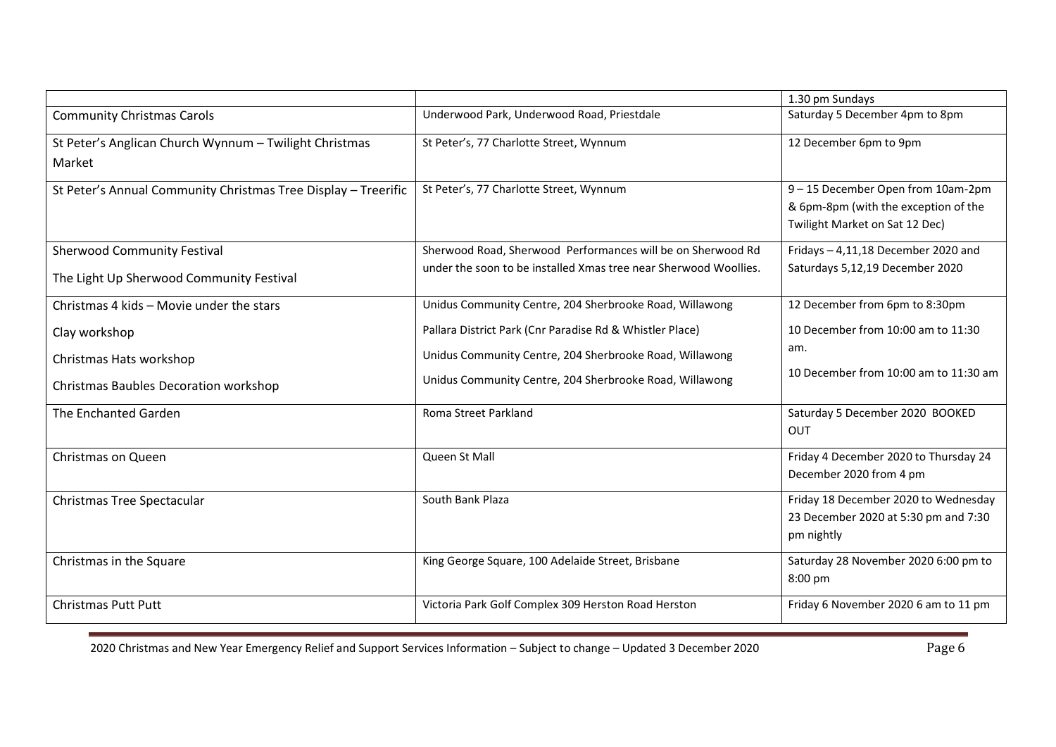| Underwood Park, Underwood Road, Priestdale<br>Saturday 5 December 4pm to 8pm<br><b>Community Christmas Carols</b><br>St Peter's Anglican Church Wynnum - Twilight Christmas<br>St Peter's, 77 Charlotte Street, Wynnum<br>12 December 6pm to 9pm<br>Market<br>9-15 December Open from 10am-2pm<br>St Peter's, 77 Charlotte Street, Wynnum<br>St Peter's Annual Community Christmas Tree Display - Treerific<br>& 6pm-8pm (with the exception of the<br>Twilight Market on Sat 12 Dec)<br>Sherwood Road, Sherwood Performances will be on Sherwood Rd<br>Fridays - 4,11,18 December 2020 and<br><b>Sherwood Community Festival</b><br>under the soon to be installed Xmas tree near Sherwood Woollies.<br>Saturdays 5,12,19 December 2020<br>The Light Up Sherwood Community Festival<br>12 December from 6pm to 8:30pm<br>Christmas 4 kids - Movie under the stars<br>Unidus Community Centre, 204 Sherbrooke Road, Willawong<br>10 December from 10:00 am to 11:30<br>Pallara District Park (Cnr Paradise Rd & Whistler Place) |
|---------------------------------------------------------------------------------------------------------------------------------------------------------------------------------------------------------------------------------------------------------------------------------------------------------------------------------------------------------------------------------------------------------------------------------------------------------------------------------------------------------------------------------------------------------------------------------------------------------------------------------------------------------------------------------------------------------------------------------------------------------------------------------------------------------------------------------------------------------------------------------------------------------------------------------------------------------------------------------------------------------------------------------|
|                                                                                                                                                                                                                                                                                                                                                                                                                                                                                                                                                                                                                                                                                                                                                                                                                                                                                                                                                                                                                                 |
|                                                                                                                                                                                                                                                                                                                                                                                                                                                                                                                                                                                                                                                                                                                                                                                                                                                                                                                                                                                                                                 |
|                                                                                                                                                                                                                                                                                                                                                                                                                                                                                                                                                                                                                                                                                                                                                                                                                                                                                                                                                                                                                                 |
|                                                                                                                                                                                                                                                                                                                                                                                                                                                                                                                                                                                                                                                                                                                                                                                                                                                                                                                                                                                                                                 |
|                                                                                                                                                                                                                                                                                                                                                                                                                                                                                                                                                                                                                                                                                                                                                                                                                                                                                                                                                                                                                                 |
|                                                                                                                                                                                                                                                                                                                                                                                                                                                                                                                                                                                                                                                                                                                                                                                                                                                                                                                                                                                                                                 |
|                                                                                                                                                                                                                                                                                                                                                                                                                                                                                                                                                                                                                                                                                                                                                                                                                                                                                                                                                                                                                                 |
|                                                                                                                                                                                                                                                                                                                                                                                                                                                                                                                                                                                                                                                                                                                                                                                                                                                                                                                                                                                                                                 |
|                                                                                                                                                                                                                                                                                                                                                                                                                                                                                                                                                                                                                                                                                                                                                                                                                                                                                                                                                                                                                                 |
|                                                                                                                                                                                                                                                                                                                                                                                                                                                                                                                                                                                                                                                                                                                                                                                                                                                                                                                                                                                                                                 |
| Clay workshop                                                                                                                                                                                                                                                                                                                                                                                                                                                                                                                                                                                                                                                                                                                                                                                                                                                                                                                                                                                                                   |
| am.<br>Unidus Community Centre, 204 Sherbrooke Road, Willawong<br>Christmas Hats workshop                                                                                                                                                                                                                                                                                                                                                                                                                                                                                                                                                                                                                                                                                                                                                                                                                                                                                                                                       |
| 10 December from 10:00 am to 11:30 am<br>Unidus Community Centre, 204 Sherbrooke Road, Willawong<br>Christmas Baubles Decoration workshop                                                                                                                                                                                                                                                                                                                                                                                                                                                                                                                                                                                                                                                                                                                                                                                                                                                                                       |
|                                                                                                                                                                                                                                                                                                                                                                                                                                                                                                                                                                                                                                                                                                                                                                                                                                                                                                                                                                                                                                 |
| Roma Street Parkland<br>Saturday 5 December 2020 BOOKED<br>The Enchanted Garden                                                                                                                                                                                                                                                                                                                                                                                                                                                                                                                                                                                                                                                                                                                                                                                                                                                                                                                                                 |
| <b>OUT</b>                                                                                                                                                                                                                                                                                                                                                                                                                                                                                                                                                                                                                                                                                                                                                                                                                                                                                                                                                                                                                      |
| Queen St Mall<br>Friday 4 December 2020 to Thursday 24<br>Christmas on Queen                                                                                                                                                                                                                                                                                                                                                                                                                                                                                                                                                                                                                                                                                                                                                                                                                                                                                                                                                    |
| December 2020 from 4 pm                                                                                                                                                                                                                                                                                                                                                                                                                                                                                                                                                                                                                                                                                                                                                                                                                                                                                                                                                                                                         |
| South Bank Plaza<br>Friday 18 December 2020 to Wednesday<br>Christmas Tree Spectacular                                                                                                                                                                                                                                                                                                                                                                                                                                                                                                                                                                                                                                                                                                                                                                                                                                                                                                                                          |
| 23 December 2020 at 5:30 pm and 7:30                                                                                                                                                                                                                                                                                                                                                                                                                                                                                                                                                                                                                                                                                                                                                                                                                                                                                                                                                                                            |
| pm nightly                                                                                                                                                                                                                                                                                                                                                                                                                                                                                                                                                                                                                                                                                                                                                                                                                                                                                                                                                                                                                      |
| King George Square, 100 Adelaide Street, Brisbane<br>Saturday 28 November 2020 6:00 pm to<br>Christmas in the Square                                                                                                                                                                                                                                                                                                                                                                                                                                                                                                                                                                                                                                                                                                                                                                                                                                                                                                            |
| 8:00 pm                                                                                                                                                                                                                                                                                                                                                                                                                                                                                                                                                                                                                                                                                                                                                                                                                                                                                                                                                                                                                         |
| Victoria Park Golf Complex 309 Herston Road Herston<br>Friday 6 November 2020 6 am to 11 pm<br><b>Christmas Putt Putt</b>                                                                                                                                                                                                                                                                                                                                                                                                                                                                                                                                                                                                                                                                                                                                                                                                                                                                                                       |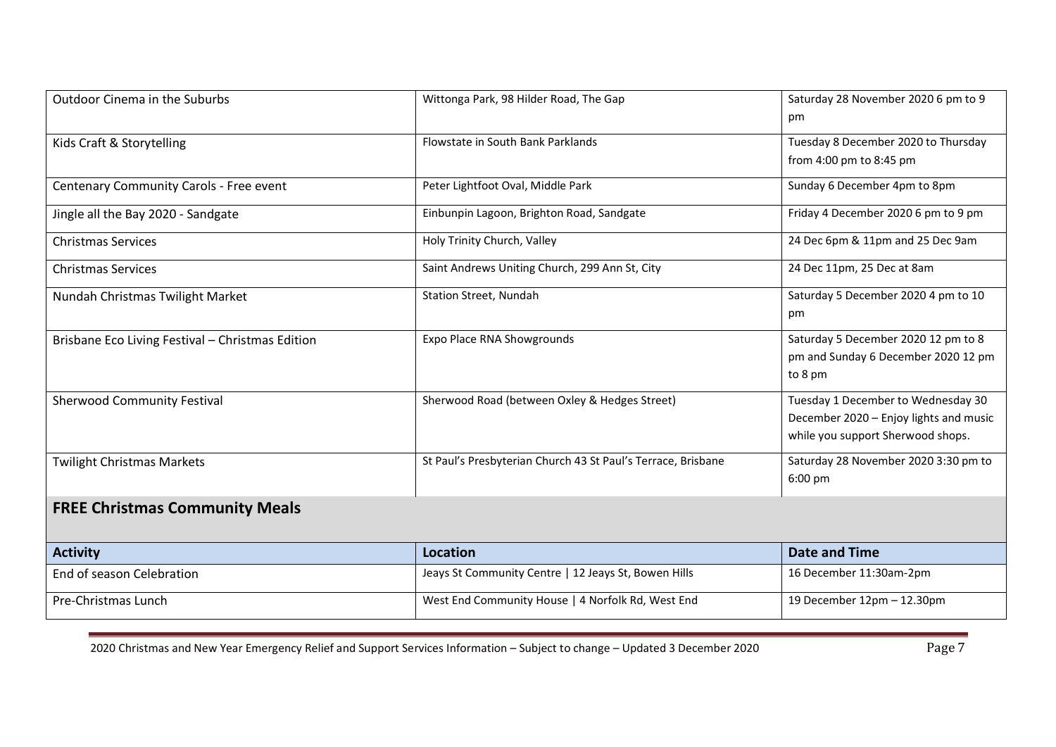| <b>Outdoor Cinema in the Suburbs</b>             | Wittonga Park, 98 Hilder Road, The Gap                       | Saturday 28 November 2020 6 pm to 9<br>pm                                                                         |
|--------------------------------------------------|--------------------------------------------------------------|-------------------------------------------------------------------------------------------------------------------|
| Kids Craft & Storytelling                        | Flowstate in South Bank Parklands                            | Tuesday 8 December 2020 to Thursday<br>from 4:00 pm to 8:45 pm                                                    |
| Centenary Community Carols - Free event          | Peter Lightfoot Oval, Middle Park                            | Sunday 6 December 4pm to 8pm                                                                                      |
| Jingle all the Bay 2020 - Sandgate               | Einbunpin Lagoon, Brighton Road, Sandgate                    | Friday 4 December 2020 6 pm to 9 pm                                                                               |
| <b>Christmas Services</b>                        | Holy Trinity Church, Valley                                  | 24 Dec 6pm & 11pm and 25 Dec 9am                                                                                  |
| <b>Christmas Services</b>                        | Saint Andrews Uniting Church, 299 Ann St, City               | 24 Dec 11pm, 25 Dec at 8am                                                                                        |
| Nundah Christmas Twilight Market                 | Station Street, Nundah                                       | Saturday 5 December 2020 4 pm to 10<br>pm                                                                         |
| Brisbane Eco Living Festival - Christmas Edition | Expo Place RNA Showgrounds                                   | Saturday 5 December 2020 12 pm to 8<br>pm and Sunday 6 December 2020 12 pm<br>to 8 pm                             |
| <b>Sherwood Community Festival</b>               | Sherwood Road (between Oxley & Hedges Street)                | Tuesday 1 December to Wednesday 30<br>December 2020 - Enjoy lights and music<br>while you support Sherwood shops. |
| <b>Twilight Christmas Markets</b>                | St Paul's Presbyterian Church 43 St Paul's Terrace, Brisbane | Saturday 28 November 2020 3:30 pm to<br>6:00 pm                                                                   |
| <b>FREE Christmas Community Meals</b>            |                                                              |                                                                                                                   |
| <b>Activity</b>                                  | Location                                                     | <b>Date and Time</b>                                                                                              |
| End of season Celebration                        | Jeays St Community Centre   12 Jeays St, Bowen Hills         | 16 December 11:30am-2pm                                                                                           |
| Pre-Christmas Lunch                              | West End Community House   4 Norfolk Rd, West End            | 19 December 12pm - 12.30pm                                                                                        |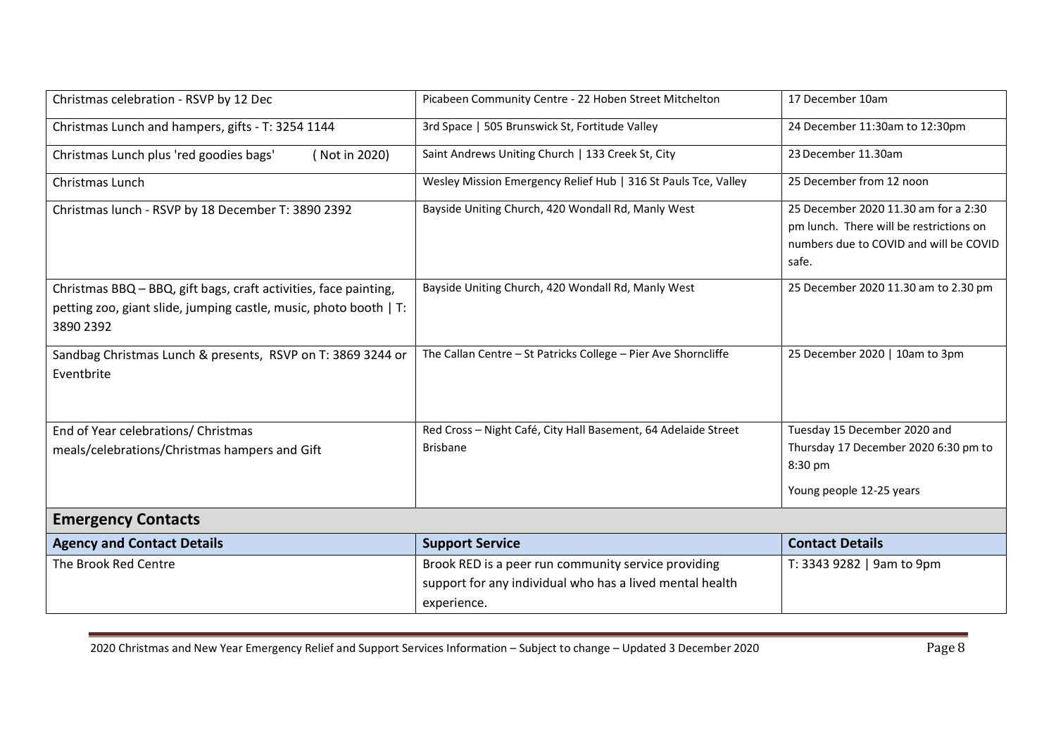| Christmas celebration - RSVP by 12 Dec                                                                                                             | Picabeen Community Centre - 22 Hoben Street Mitchelton                                                                         | 17 December 10am                                                                                                                   |
|----------------------------------------------------------------------------------------------------------------------------------------------------|--------------------------------------------------------------------------------------------------------------------------------|------------------------------------------------------------------------------------------------------------------------------------|
| Christmas Lunch and hampers, gifts - T: 3254 1144                                                                                                  | 3rd Space   505 Brunswick St, Fortitude Valley                                                                                 | 24 December 11:30am to 12:30pm                                                                                                     |
| Christmas Lunch plus 'red goodies bags'<br>(Not in 2020)                                                                                           | Saint Andrews Uniting Church   133 Creek St, City                                                                              | 23 December 11.30am                                                                                                                |
| Christmas Lunch                                                                                                                                    | Wesley Mission Emergency Relief Hub   316 St Pauls Tce, Valley                                                                 | 25 December from 12 noon                                                                                                           |
| Christmas lunch - RSVP by 18 December T: 3890 2392                                                                                                 | Bayside Uniting Church, 420 Wondall Rd, Manly West                                                                             | 25 December 2020 11.30 am for a 2:30<br>pm lunch. There will be restrictions on<br>numbers due to COVID and will be COVID<br>safe. |
| Christmas BBQ - BBQ, gift bags, craft activities, face painting,<br>petting zoo, giant slide, jumping castle, music, photo booth   T:<br>3890 2392 | Bayside Uniting Church, 420 Wondall Rd, Manly West                                                                             | 25 December 2020 11.30 am to 2.30 pm                                                                                               |
| Sandbag Christmas Lunch & presents, RSVP on T: 3869 3244 or<br>Eventbrite                                                                          | The Callan Centre - St Patricks College - Pier Ave Shorncliffe                                                                 | 25 December 2020   10am to 3pm                                                                                                     |
| End of Year celebrations/ Christmas<br>meals/celebrations/Christmas hampers and Gift                                                               | Red Cross - Night Café, City Hall Basement, 64 Adelaide Street<br><b>Brisbane</b>                                              | Tuesday 15 December 2020 and<br>Thursday 17 December 2020 6:30 pm to<br>8:30 pm<br>Young people 12-25 years                        |
| <b>Emergency Contacts</b>                                                                                                                          |                                                                                                                                |                                                                                                                                    |
| <b>Agency and Contact Details</b>                                                                                                                  | <b>Support Service</b>                                                                                                         | <b>Contact Details</b>                                                                                                             |
| The Brook Red Centre                                                                                                                               | Brook RED is a peer run community service providing<br>support for any individual who has a lived mental health<br>experience. | T: 3343 9282   9am to 9pm                                                                                                          |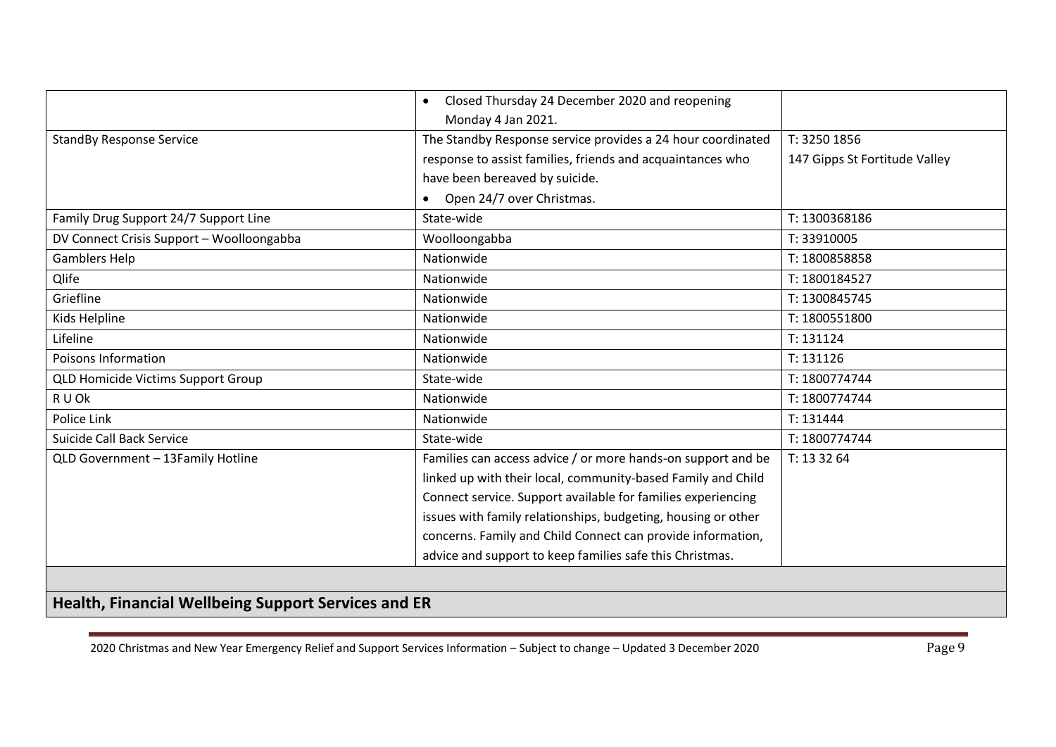|                                                            | Closed Thursday 24 December 2020 and reopening<br>$\bullet$   |                               |  |  |
|------------------------------------------------------------|---------------------------------------------------------------|-------------------------------|--|--|
|                                                            | Monday 4 Jan 2021.                                            |                               |  |  |
| <b>StandBy Response Service</b>                            | The Standby Response service provides a 24 hour coordinated   | T: 3250 1856                  |  |  |
|                                                            | response to assist families, friends and acquaintances who    | 147 Gipps St Fortitude Valley |  |  |
|                                                            | have been bereaved by suicide.                                |                               |  |  |
|                                                            | Open 24/7 over Christmas.                                     |                               |  |  |
| Family Drug Support 24/7 Support Line                      | State-wide                                                    | T: 1300368186                 |  |  |
| DV Connect Crisis Support - Woolloongabba                  | Woolloongabba                                                 | T: 33910005                   |  |  |
| <b>Gamblers Help</b>                                       | Nationwide                                                    | T: 1800858858                 |  |  |
| Qlife                                                      | Nationwide                                                    | T: 1800184527                 |  |  |
| Griefline                                                  | Nationwide                                                    | T: 1300845745                 |  |  |
| Kids Helpline                                              | Nationwide                                                    | T: 1800551800                 |  |  |
| Lifeline                                                   | Nationwide                                                    | T: 131124                     |  |  |
| Poisons Information                                        | Nationwide                                                    | T: 131126                     |  |  |
| <b>QLD Homicide Victims Support Group</b>                  | State-wide                                                    | T: 1800774744                 |  |  |
| R U Ok                                                     | Nationwide                                                    | T: 1800774744                 |  |  |
| Police Link                                                | Nationwide                                                    | T: 131444                     |  |  |
| Suicide Call Back Service                                  | State-wide                                                    | T: 1800774744                 |  |  |
| QLD Government - 13Family Hotline                          | Families can access advice / or more hands-on support and be  | T: 13 32 64                   |  |  |
|                                                            | linked up with their local, community-based Family and Child  |                               |  |  |
|                                                            | Connect service. Support available for families experiencing  |                               |  |  |
|                                                            | issues with family relationships, budgeting, housing or other |                               |  |  |
|                                                            | concerns. Family and Child Connect can provide information,   |                               |  |  |
|                                                            | advice and support to keep families safe this Christmas.      |                               |  |  |
|                                                            |                                                               |                               |  |  |
| <b>Health, Financial Wellbeing Support Services and ER</b> |                                                               |                               |  |  |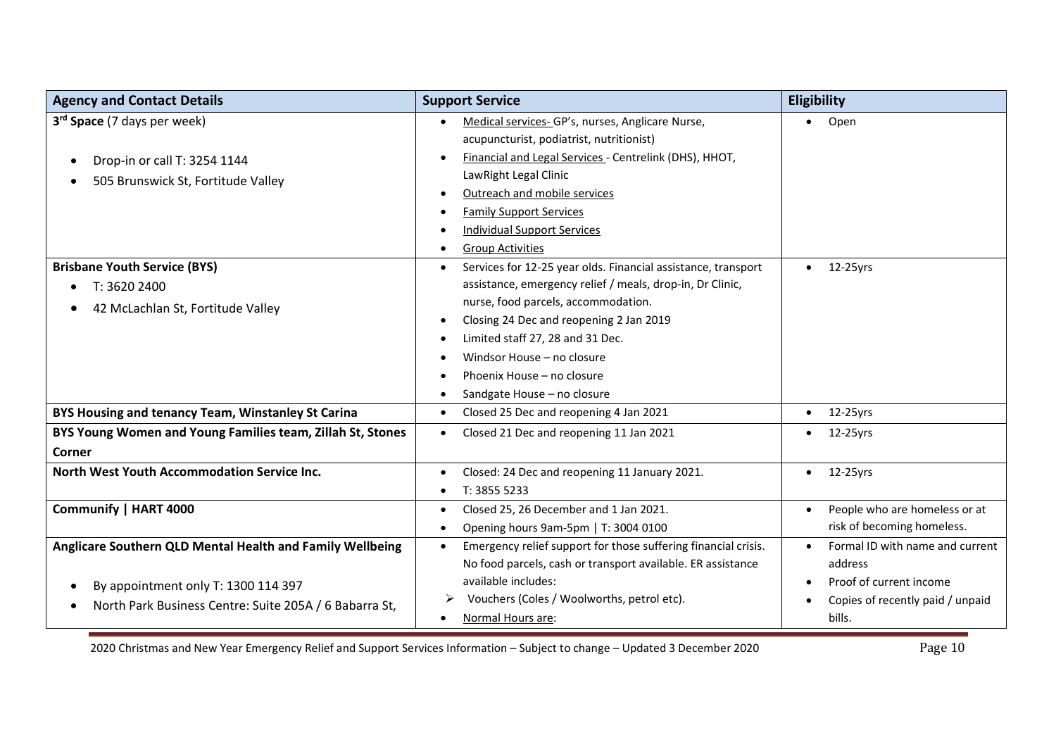| <b>Agency and Contact Details</b>                                   | <b>Support Service</b>                                                      | Eligibility                                |
|---------------------------------------------------------------------|-----------------------------------------------------------------------------|--------------------------------------------|
| 3 <sup>rd</sup> Space (7 days per week)                             | Medical services-GP's, nurses, Anglicare Nurse,                             | Open<br>$\bullet$                          |
|                                                                     | acupuncturist, podiatrist, nutritionist)                                    |                                            |
| Drop-in or call T: 3254 1144<br>$\bullet$                           | Financial and Legal Services - Centrelink (DHS), HHOT,                      |                                            |
| 505 Brunswick St, Fortitude Valley<br>$\bullet$                     | LawRight Legal Clinic                                                       |                                            |
|                                                                     | Outreach and mobile services                                                |                                            |
|                                                                     | <b>Family Support Services</b>                                              |                                            |
|                                                                     | <b>Individual Support Services</b>                                          |                                            |
|                                                                     | <b>Group Activities</b>                                                     |                                            |
| <b>Brisbane Youth Service (BYS)</b>                                 | Services for 12-25 year olds. Financial assistance, transport<br>$\bullet$  | 12-25yrs<br>$\bullet$                      |
| T: 3620 2400<br>$\bullet$                                           | assistance, emergency relief / meals, drop-in, Dr Clinic,                   |                                            |
| 42 McLachlan St, Fortitude Valley                                   | nurse, food parcels, accommodation.                                         |                                            |
|                                                                     | Closing 24 Dec and reopening 2 Jan 2019                                     |                                            |
|                                                                     | Limited staff 27, 28 and 31 Dec.                                            |                                            |
|                                                                     | Windsor House - no closure                                                  |                                            |
|                                                                     | Phoenix House - no closure                                                  |                                            |
|                                                                     | Sandgate House - no closure                                                 |                                            |
| BYS Housing and tenancy Team, Winstanley St Carina                  | Closed 25 Dec and reopening 4 Jan 2021<br>$\bullet$                         | 12-25yrs<br>$\bullet$                      |
| BYS Young Women and Young Families team, Zillah St, Stones          | Closed 21 Dec and reopening 11 Jan 2021<br>$\bullet$                        | 12-25yrs                                   |
| Corner                                                              |                                                                             |                                            |
| North West Youth Accommodation Service Inc.                         | Closed: 24 Dec and reopening 11 January 2021.<br>$\bullet$                  | 12-25yrs<br>$\bullet$                      |
|                                                                     | T: 3855 5233<br>٠                                                           |                                            |
| Communify   HART 4000                                               | Closed 25, 26 December and 1 Jan 2021.<br>$\bullet$                         | People who are homeless or at<br>$\bullet$ |
|                                                                     | Opening hours 9am-5pm   T: 3004 0100<br>٠                                   | risk of becoming homeless.                 |
| Anglicare Southern QLD Mental Health and Family Wellbeing           | Emergency relief support for those suffering financial crisis.<br>$\bullet$ | Formal ID with name and current            |
|                                                                     | No food parcels, cash or transport available. ER assistance                 | address                                    |
| By appointment only T: 1300 114 397<br>$\bullet$                    | available includes:                                                         | Proof of current income                    |
| North Park Business Centre: Suite 205A / 6 Babarra St,<br>$\bullet$ | Vouchers (Coles / Woolworths, petrol etc).                                  | Copies of recently paid / unpaid           |
|                                                                     | Normal Hours are:                                                           | bills.                                     |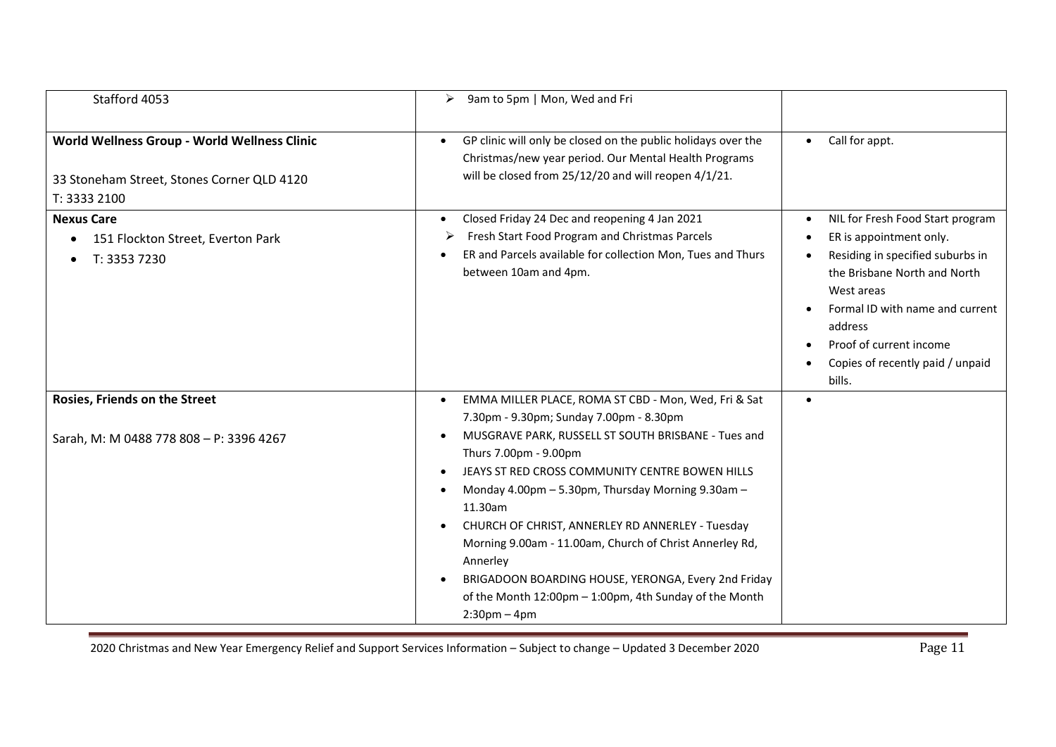| Stafford 4053                                                                                              | 9am to 5pm   Mon, Wed and Fri<br>➤                                                                                                                                                                                                                                                                                                                                                                                                                             |                                                                                                                                                                                                                                                                                   |
|------------------------------------------------------------------------------------------------------------|----------------------------------------------------------------------------------------------------------------------------------------------------------------------------------------------------------------------------------------------------------------------------------------------------------------------------------------------------------------------------------------------------------------------------------------------------------------|-----------------------------------------------------------------------------------------------------------------------------------------------------------------------------------------------------------------------------------------------------------------------------------|
| World Wellness Group - World Wellness Clinic<br>33 Stoneham Street, Stones Corner QLD 4120<br>T: 3333 2100 | GP clinic will only be closed on the public holidays over the<br>$\bullet$<br>Christmas/new year period. Our Mental Health Programs<br>will be closed from 25/12/20 and will reopen 4/1/21.                                                                                                                                                                                                                                                                    | Call for appt.<br>$\bullet$                                                                                                                                                                                                                                                       |
| <b>Nexus Care</b><br>151 Flockton Street, Everton Park<br>T: 3353 7230                                     | Closed Friday 24 Dec and reopening 4 Jan 2021<br>Fresh Start Food Program and Christmas Parcels<br>➤<br>ER and Parcels available for collection Mon, Tues and Thurs<br>between 10am and 4pm.                                                                                                                                                                                                                                                                   | NIL for Fresh Food Start program<br>$\bullet$<br>ER is appointment only.<br>Residing in specified suburbs in<br>the Brisbane North and North<br>West areas<br>Formal ID with name and current<br>address<br>Proof of current income<br>Copies of recently paid / unpaid<br>bills. |
| Rosies, Friends on the Street                                                                              | EMMA MILLER PLACE, ROMA ST CBD - Mon, Wed, Fri & Sat<br>7.30pm - 9.30pm; Sunday 7.00pm - 8.30pm                                                                                                                                                                                                                                                                                                                                                                |                                                                                                                                                                                                                                                                                   |
| Sarah, M: M 0488 778 808 - P: 3396 4267                                                                    | MUSGRAVE PARK, RUSSELL ST SOUTH BRISBANE - Tues and<br>Thurs 7.00pm - 9.00pm<br>JEAYS ST RED CROSS COMMUNITY CENTRE BOWEN HILLS<br>Monday 4.00pm - 5.30pm, Thursday Morning 9.30am -<br>11.30am<br>CHURCH OF CHRIST, ANNERLEY RD ANNERLEY - Tuesday<br>Morning 9.00am - 11.00am, Church of Christ Annerley Rd,<br>Annerley<br>BRIGADOON BOARDING HOUSE, YERONGA, Every 2nd Friday<br>of the Month 12:00pm - 1:00pm, 4th Sunday of the Month<br>$2:30$ pm – 4pm |                                                                                                                                                                                                                                                                                   |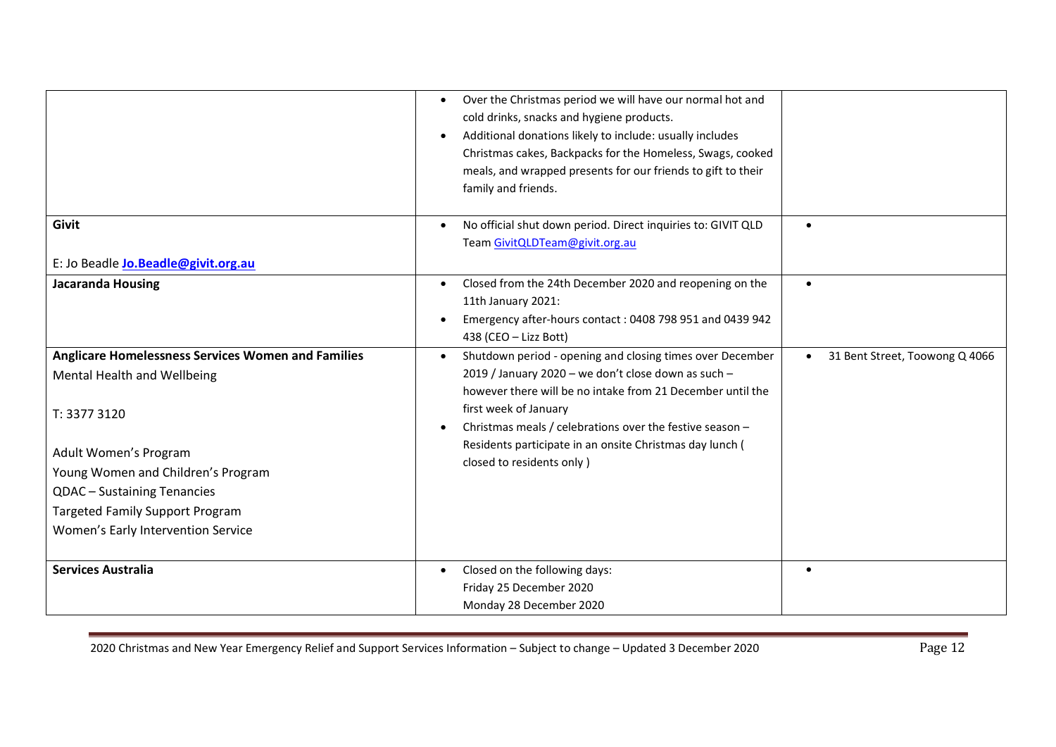|                                                                                                                                                                                                                                                                                        | Over the Christmas period we will have our normal hot and<br>cold drinks, snacks and hygiene products.<br>Additional donations likely to include: usually includes<br>Christmas cakes, Backpacks for the Homeless, Swags, cooked<br>meals, and wrapped presents for our friends to gift to their<br>family and friends.                                      |                                             |
|----------------------------------------------------------------------------------------------------------------------------------------------------------------------------------------------------------------------------------------------------------------------------------------|--------------------------------------------------------------------------------------------------------------------------------------------------------------------------------------------------------------------------------------------------------------------------------------------------------------------------------------------------------------|---------------------------------------------|
| Givit                                                                                                                                                                                                                                                                                  | No official shut down period. Direct inquiries to: GIVIT QLD<br>Team GivitQLDTeam@givit.org.au                                                                                                                                                                                                                                                               | $\bullet$                                   |
| E: Jo Beadle Jo.Beadle@givit.org.au                                                                                                                                                                                                                                                    |                                                                                                                                                                                                                                                                                                                                                              |                                             |
| <b>Jacaranda Housing</b>                                                                                                                                                                                                                                                               | Closed from the 24th December 2020 and reopening on the<br>$\bullet$<br>11th January 2021:<br>Emergency after-hours contact: 0408 798 951 and 0439 942<br>438 (CEO - Lizz Bott)                                                                                                                                                                              | $\bullet$                                   |
| <b>Anglicare Homelessness Services Women and Families</b><br>Mental Health and Wellbeing<br>T: 3377 3120<br>Adult Women's Program<br>Young Women and Children's Program<br>QDAC - Sustaining Tenancies<br><b>Targeted Family Support Program</b><br>Women's Early Intervention Service | Shutdown period - opening and closing times over December<br>2019 / January 2020 - we don't close down as such -<br>however there will be no intake from 21 December until the<br>first week of January<br>Christmas meals / celebrations over the festive season -<br>Residents participate in an onsite Christmas day lunch (<br>closed to residents only) | 31 Bent Street, Toowong Q 4066<br>$\bullet$ |
| <b>Services Australia</b>                                                                                                                                                                                                                                                              | Closed on the following days:<br>$\bullet$<br>Friday 25 December 2020<br>Monday 28 December 2020                                                                                                                                                                                                                                                             | $\bullet$                                   |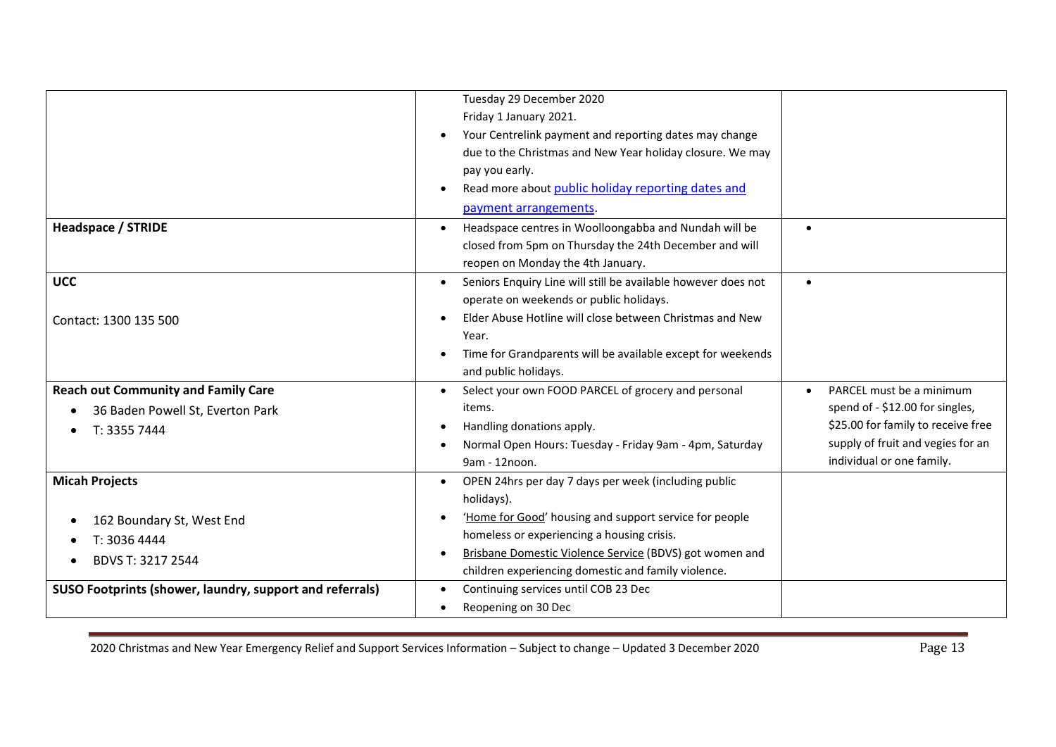|                                                          | Tuesday 29 December 2020                                           |                                       |
|----------------------------------------------------------|--------------------------------------------------------------------|---------------------------------------|
|                                                          | Friday 1 January 2021.                                             |                                       |
|                                                          | Your Centrelink payment and reporting dates may change             |                                       |
|                                                          | due to the Christmas and New Year holiday closure. We may          |                                       |
|                                                          | pay you early.                                                     |                                       |
|                                                          | Read more about public holiday reporting dates and                 |                                       |
|                                                          | payment arrangements.                                              |                                       |
| <b>Headspace / STRIDE</b>                                | Headspace centres in Woolloongabba and Nundah will be<br>$\bullet$ | $\bullet$                             |
|                                                          | closed from 5pm on Thursday the 24th December and will             |                                       |
|                                                          | reopen on Monday the 4th January.                                  |                                       |
| <b>UCC</b>                                               | Seniors Enquiry Line will still be available however does not      | $\bullet$                             |
|                                                          | operate on weekends or public holidays.                            |                                       |
| Contact: 1300 135 500                                    | Elder Abuse Hotline will close between Christmas and New           |                                       |
|                                                          | Year.                                                              |                                       |
|                                                          | Time for Grandparents will be available except for weekends        |                                       |
|                                                          | and public holidays.                                               |                                       |
| <b>Reach out Community and Family Care</b>               | Select your own FOOD PARCEL of grocery and personal                | PARCEL must be a minimum<br>$\bullet$ |
| 36 Baden Powell St, Everton Park                         | items.                                                             | spend of - \$12.00 for singles,       |
| T: 3355 7444                                             | Handling donations apply.                                          | \$25.00 for family to receive free    |
|                                                          | Normal Open Hours: Tuesday - Friday 9am - 4pm, Saturday            | supply of fruit and vegies for an     |
|                                                          | 9am - 12noon.                                                      | individual or one family.             |
| <b>Micah Projects</b>                                    | OPEN 24hrs per day 7 days per week (including public<br>$\bullet$  |                                       |
|                                                          | holidays).                                                         |                                       |
| 162 Boundary St, West End                                | 'Home for Good' housing and support service for people             |                                       |
| T: 3036 4444                                             | homeless or experiencing a housing crisis.                         |                                       |
| BDVS T: 3217 2544                                        | Brisbane Domestic Violence Service (BDVS) got women and            |                                       |
|                                                          | children experiencing domestic and family violence.                |                                       |
| SUSO Footprints (shower, laundry, support and referrals) | Continuing services until COB 23 Dec                               |                                       |
|                                                          | Reopening on 30 Dec                                                |                                       |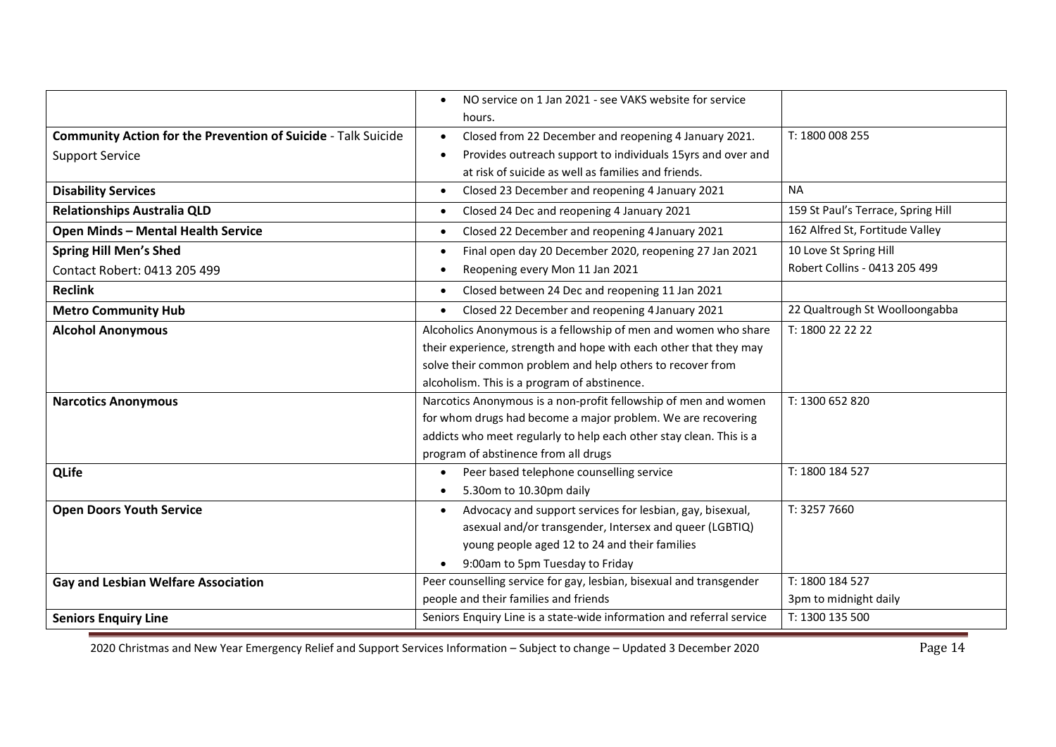|                                                                      | NO service on 1 Jan 2021 - see VAKS website for service<br>$\bullet$  |                                    |
|----------------------------------------------------------------------|-----------------------------------------------------------------------|------------------------------------|
|                                                                      | hours.                                                                |                                    |
| <b>Community Action for the Prevention of Suicide - Talk Suicide</b> | Closed from 22 December and reopening 4 January 2021.<br>$\bullet$    | T: 1800 008 255                    |
| <b>Support Service</b>                                               | Provides outreach support to individuals 15yrs and over and           |                                    |
|                                                                      | at risk of suicide as well as families and friends.                   |                                    |
| <b>Disability Services</b>                                           | Closed 23 December and reopening 4 January 2021<br>$\bullet$          | <b>NA</b>                          |
| <b>Relationships Australia QLD</b>                                   | Closed 24 Dec and reopening 4 January 2021<br>$\bullet$               | 159 St Paul's Terrace, Spring Hill |
| <b>Open Minds - Mental Health Service</b>                            | Closed 22 December and reopening 4 January 2021<br>$\bullet$          | 162 Alfred St, Fortitude Valley    |
| <b>Spring Hill Men's Shed</b>                                        | Final open day 20 December 2020, reopening 27 Jan 2021<br>$\bullet$   | 10 Love St Spring Hill             |
| Contact Robert: 0413 205 499                                         | Reopening every Mon 11 Jan 2021                                       | Robert Collins - 0413 205 499      |
| <b>Reclink</b>                                                       | Closed between 24 Dec and reopening 11 Jan 2021<br>$\bullet$          |                                    |
| <b>Metro Community Hub</b>                                           | Closed 22 December and reopening 4 January 2021<br>$\bullet$          | 22 Qualtrough St Woolloongabba     |
| <b>Alcohol Anonymous</b>                                             | Alcoholics Anonymous is a fellowship of men and women who share       | T: 1800 22 22 22                   |
|                                                                      | their experience, strength and hope with each other that they may     |                                    |
|                                                                      | solve their common problem and help others to recover from            |                                    |
|                                                                      | alcoholism. This is a program of abstinence.                          |                                    |
| <b>Narcotics Anonymous</b>                                           | Narcotics Anonymous is a non-profit fellowship of men and women       | T: 1300 652 820                    |
|                                                                      | for whom drugs had become a major problem. We are recovering          |                                    |
|                                                                      | addicts who meet regularly to help each other stay clean. This is a   |                                    |
|                                                                      | program of abstinence from all drugs                                  |                                    |
| <b>QLife</b>                                                         | Peer based telephone counselling service<br>$\bullet$                 | T: 1800 184 527                    |
|                                                                      | 5.30om to 10.30pm daily<br>$\bullet$                                  |                                    |
| <b>Open Doors Youth Service</b>                                      | Advocacy and support services for lesbian, gay, bisexual,             | T: 3257 7660                       |
|                                                                      | asexual and/or transgender, Intersex and queer (LGBTIQ)               |                                    |
|                                                                      | young people aged 12 to 24 and their families                         |                                    |
|                                                                      | 9:00am to 5pm Tuesday to Friday                                       |                                    |
| <b>Gay and Lesbian Welfare Association</b>                           | Peer counselling service for gay, lesbian, bisexual and transgender   | T: 1800 184 527                    |
|                                                                      | people and their families and friends                                 | 3pm to midnight daily              |
| <b>Seniors Enquiry Line</b>                                          | Seniors Enquiry Line is a state-wide information and referral service | T: 1300 135 500                    |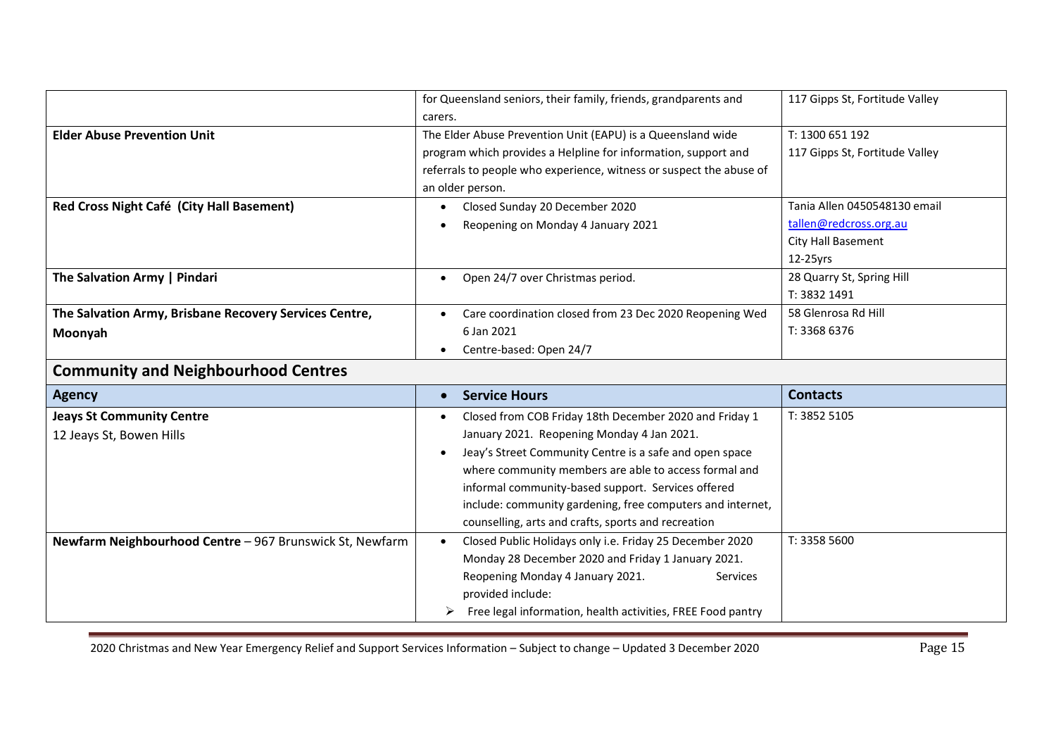|                                                          | for Queensland seniors, their family, friends, grandparents and     | 117 Gipps St, Fortitude Valley |
|----------------------------------------------------------|---------------------------------------------------------------------|--------------------------------|
|                                                          | carers.                                                             |                                |
| <b>Elder Abuse Prevention Unit</b>                       | The Elder Abuse Prevention Unit (EAPU) is a Queensland wide         | T: 1300 651 192                |
|                                                          | program which provides a Helpline for information, support and      | 117 Gipps St, Fortitude Valley |
|                                                          | referrals to people who experience, witness or suspect the abuse of |                                |
|                                                          | an older person.                                                    |                                |
| Red Cross Night Café (City Hall Basement)                | Closed Sunday 20 December 2020                                      | Tania Allen 0450548130 email   |
|                                                          | Reopening on Monday 4 January 2021                                  | tallen@redcross.org.au         |
|                                                          |                                                                     | City Hall Basement             |
|                                                          |                                                                     | 12-25yrs                       |
| The Salvation Army   Pindari                             | Open 24/7 over Christmas period.<br>$\bullet$                       | 28 Quarry St, Spring Hill      |
|                                                          |                                                                     | T: 3832 1491                   |
| The Salvation Army, Brisbane Recovery Services Centre,   | Care coordination closed from 23 Dec 2020 Reopening Wed             | 58 Glenrosa Rd Hill            |
| Moonyah                                                  | 6 Jan 2021                                                          | T: 3368 6376                   |
|                                                          | Centre-based: Open 24/7<br>$\bullet$                                |                                |
| <b>Community and Neighbourhood Centres</b>               |                                                                     |                                |
| <b>Agency</b>                                            | <b>Service Hours</b><br>$\bullet$                                   | <b>Contacts</b>                |
| <b>Jeays St Community Centre</b>                         | Closed from COB Friday 18th December 2020 and Friday 1              | T: 3852 5105                   |
| 12 Jeays St, Bowen Hills                                 | January 2021. Reopening Monday 4 Jan 2021.                          |                                |
|                                                          | Jeay's Street Community Centre is a safe and open space             |                                |
|                                                          | where community members are able to access formal and               |                                |
|                                                          | informal community-based support. Services offered                  |                                |
|                                                          | include: community gardening, free computers and internet,          |                                |
|                                                          | counselling, arts and crafts, sports and recreation                 |                                |
| Newfarm Neighbourhood Centre - 967 Brunswick St, Newfarm | Closed Public Holidays only i.e. Friday 25 December 2020            | T: 3358 5600                   |
|                                                          | Monday 28 December 2020 and Friday 1 January 2021.                  |                                |
|                                                          | Reopening Monday 4 January 2021.<br>Services                        |                                |
|                                                          | provided include:                                                   |                                |
|                                                          | Free legal information, health activities, FREE Food pantry         |                                |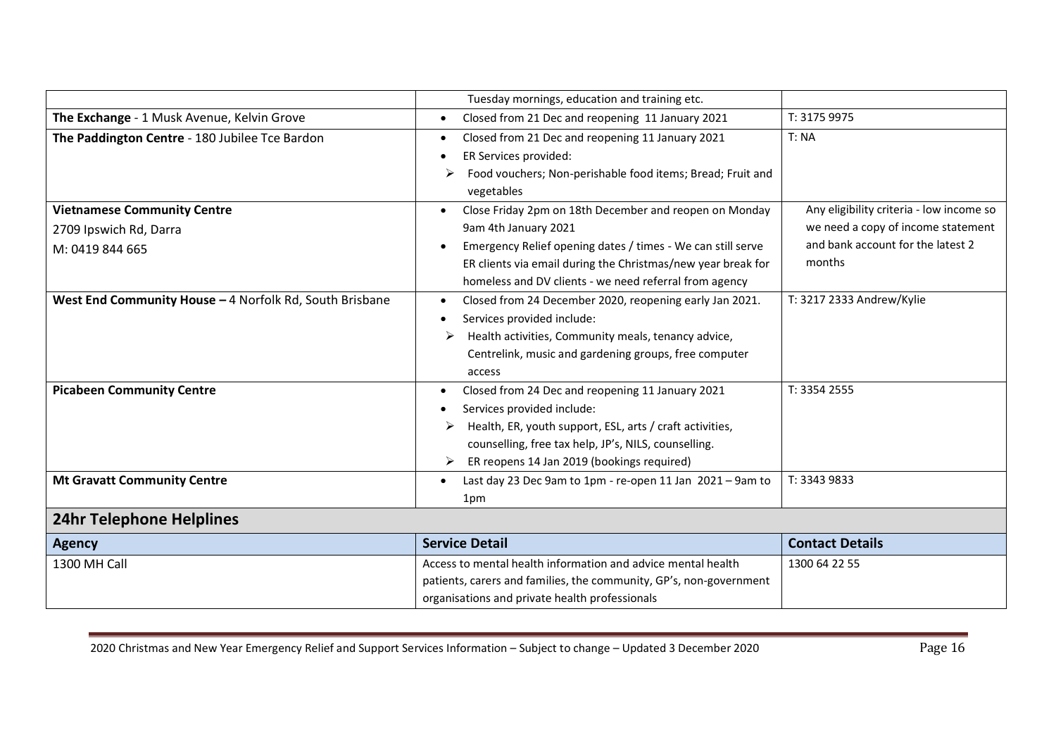|                                                         | Tuesday mornings, education and training etc.                          |                                          |
|---------------------------------------------------------|------------------------------------------------------------------------|------------------------------------------|
| The Exchange - 1 Musk Avenue, Kelvin Grove              | Closed from 21 Dec and reopening 11 January 2021<br>$\bullet$          | T: 3175 9975                             |
| The Paddington Centre - 180 Jubilee Tce Bardon          | Closed from 21 Dec and reopening 11 January 2021<br>$\bullet$          | T: NA                                    |
|                                                         | ER Services provided:                                                  |                                          |
|                                                         | Food vouchers; Non-perishable food items; Bread; Fruit and             |                                          |
|                                                         | vegetables                                                             |                                          |
| <b>Vietnamese Community Centre</b>                      | Close Friday 2pm on 18th December and reopen on Monday<br>$\bullet$    | Any eligibility criteria - low income so |
| 2709 Ipswich Rd, Darra                                  | 9am 4th January 2021                                                   | we need a copy of income statement       |
| M: 0419 844 665                                         | Emergency Relief opening dates / times - We can still serve            | and bank account for the latest 2        |
|                                                         | ER clients via email during the Christmas/new year break for           | months                                   |
|                                                         | homeless and DV clients - we need referral from agency                 |                                          |
| West End Community House - 4 Norfolk Rd, South Brisbane | Closed from 24 December 2020, reopening early Jan 2021.                | T: 3217 2333 Andrew/Kylie                |
|                                                         | Services provided include:                                             |                                          |
|                                                         | Health activities, Community meals, tenancy advice,                    |                                          |
|                                                         | Centrelink, music and gardening groups, free computer                  |                                          |
|                                                         | access                                                                 |                                          |
| <b>Picabeen Community Centre</b>                        | Closed from 24 Dec and reopening 11 January 2021                       | T: 3354 2555                             |
|                                                         | Services provided include:                                             |                                          |
|                                                         | Health, ER, youth support, ESL, arts / craft activities,               |                                          |
|                                                         | counselling, free tax help, JP's, NILS, counselling.                   |                                          |
|                                                         | ER reopens 14 Jan 2019 (bookings required)<br>➤                        |                                          |
| <b>Mt Gravatt Community Centre</b>                      | Last day 23 Dec 9am to 1pm - re-open 11 Jan 2021 - 9am to<br>$\bullet$ | T: 3343 9833                             |
|                                                         | 1pm                                                                    |                                          |
| <b>24hr Telephone Helplines</b>                         |                                                                        |                                          |
| <b>Agency</b>                                           | <b>Service Detail</b>                                                  | <b>Contact Details</b>                   |
| 1300 MH Call                                            | Access to mental health information and advice mental health           | 1300 64 22 55                            |
|                                                         | patients, carers and families, the community, GP's, non-government     |                                          |
|                                                         | organisations and private health professionals                         |                                          |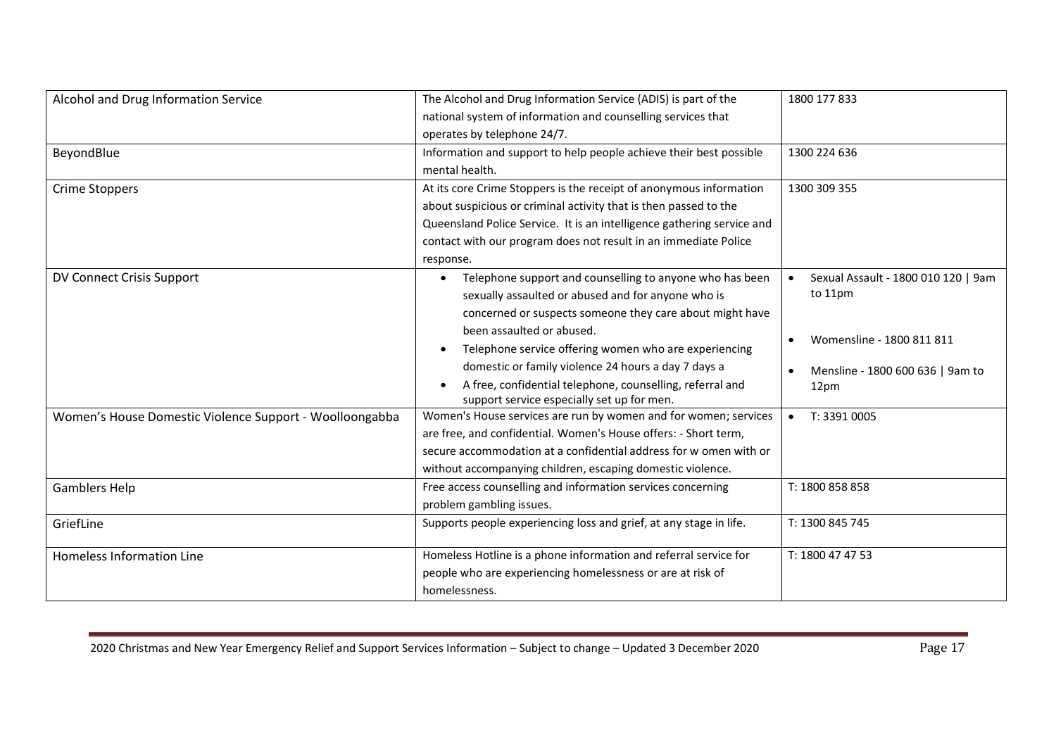| Alcohol and Drug Information Service                    | The Alcohol and Drug Information Service (ADIS) is part of the         | 1800 177 833                                     |
|---------------------------------------------------------|------------------------------------------------------------------------|--------------------------------------------------|
|                                                         | national system of information and counselling services that           |                                                  |
|                                                         | operates by telephone 24/7.                                            |                                                  |
| BeyondBlue                                              | Information and support to help people achieve their best possible     | 1300 224 636                                     |
|                                                         | mental health.                                                         |                                                  |
| <b>Crime Stoppers</b>                                   | At its core Crime Stoppers is the receipt of anonymous information     | 1300 309 355                                     |
|                                                         | about suspicious or criminal activity that is then passed to the       |                                                  |
|                                                         | Queensland Police Service. It is an intelligence gathering service and |                                                  |
|                                                         | contact with our program does not result in an immediate Police        |                                                  |
|                                                         | response.                                                              |                                                  |
| DV Connect Crisis Support                               | Telephone support and counselling to anyone who has been<br>$\bullet$  | Sexual Assault - 1800 010 120   9am<br>$\bullet$ |
|                                                         | sexually assaulted or abused and for anyone who is                     | to 11pm                                          |
|                                                         | concerned or suspects someone they care about might have               |                                                  |
|                                                         | been assaulted or abused.                                              |                                                  |
|                                                         | Telephone service offering women who are experiencing                  | Womensline - 1800 811 811                        |
|                                                         | domestic or family violence 24 hours a day 7 days a                    | Mensline - 1800 600 636   9am to                 |
|                                                         | A free, confidential telephone, counselling, referral and              | 12pm                                             |
|                                                         | support service especially set up for men.                             |                                                  |
| Women's House Domestic Violence Support - Woolloongabba | Women's House services are run by women and for women; services        | T: 3391 0005<br>$\bullet$                        |
|                                                         | are free, and confidential. Women's House offers: - Short term,        |                                                  |
|                                                         | secure accommodation at a confidential address for w omen with or      |                                                  |
|                                                         | without accompanying children, escaping domestic violence.             |                                                  |
| <b>Gamblers Help</b>                                    | Free access counselling and information services concerning            | T: 1800 858 858                                  |
|                                                         | problem gambling issues.                                               |                                                  |
| GriefLine                                               | Supports people experiencing loss and grief, at any stage in life.     | T: 1300 845 745                                  |
| <b>Homeless Information Line</b>                        | Homeless Hotline is a phone information and referral service for       | T: 1800 47 47 53                                 |
|                                                         | people who are experiencing homelessness or are at risk of             |                                                  |
|                                                         | homelessness.                                                          |                                                  |